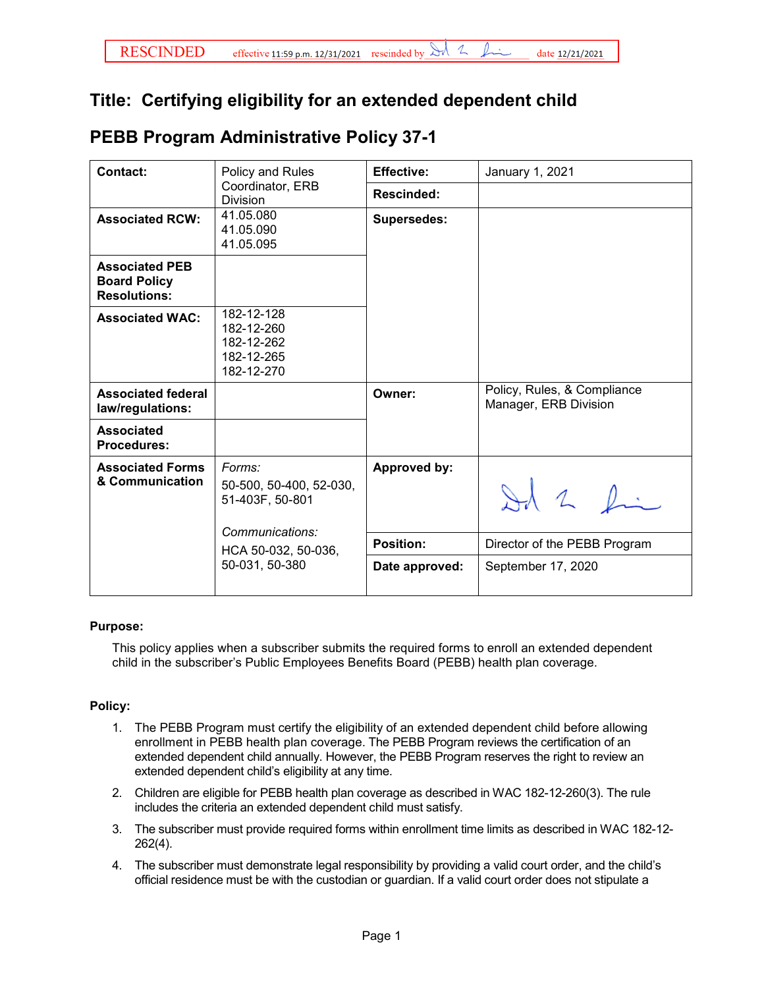## **Title: Certifying eligibility for an extended dependent child**

| <b>PEBB Program Administrative Policy 37-1</b> |
|------------------------------------------------|
|------------------------------------------------|

| <b>Contact:</b>                                                     | Policy and Rules<br>Coordinator, ERB<br><b>Division</b>                                                          | <b>Effective:</b>  | January 1, 2021                                      |
|---------------------------------------------------------------------|------------------------------------------------------------------------------------------------------------------|--------------------|------------------------------------------------------|
|                                                                     |                                                                                                                  | <b>Rescinded:</b>  |                                                      |
| <b>Associated RCW:</b>                                              | 41.05.080<br>41.05.090<br>41.05.095                                                                              | <b>Supersedes:</b> |                                                      |
| <b>Associated PEB</b><br><b>Board Policy</b><br><b>Resolutions:</b> |                                                                                                                  |                    |                                                      |
| <b>Associated WAC:</b>                                              | 182-12-128<br>182-12-260<br>182-12-262<br>182-12-265<br>182-12-270                                               |                    |                                                      |
| <b>Associated federal</b><br>law/regulations:                       |                                                                                                                  | Owner:             | Policy, Rules, & Compliance<br>Manager, ERB Division |
| <b>Associated</b><br>Procedures:                                    |                                                                                                                  |                    |                                                      |
| <b>Associated Forms</b><br>& Communication                          | Forms:<br>50-500, 50-400, 52-030,<br>51-403F, 50-801<br>Communications:<br>HCA 50-032, 50-036,<br>50-031, 50-380 | Approved by:       | Id 2 fin                                             |
|                                                                     |                                                                                                                  | <b>Position:</b>   | Director of the PEBB Program                         |
|                                                                     |                                                                                                                  | Date approved:     | September 17, 2020                                   |

## **Purpose:**

This policy applies when a subscriber submits the required forms to enroll an extended dependent child in the subscriber's Public Employees Benefits Board (PEBB) health plan coverage.

## **Policy:**

- 1. The PEBB Program must certify the eligibility of an extended dependent child before allowing enrollment in PEBB health plan coverage. The PEBB Program reviews the certification of an extended dependent child annually. However, the PEBB Program reserves the right to review an extended dependent child's eligibility at any time.
- 2. Children are eligible for PEBB health plan coverage as described in WAC 182-12-260(3). The rule includes the criteria an extended dependent child must satisfy.
- 3. The subscriber must provide required forms within enrollment time limits as described in WAC 182-12- 262(4).
- 4. The subscriber must demonstrate legal responsibility by providing a valid court order, and the child's official residence must be with the custodian or guardian. If a valid court order does not stipulate a